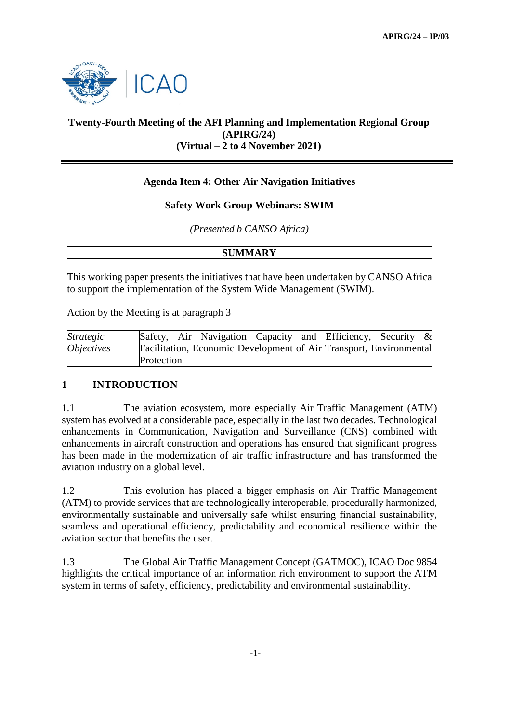

# **Twenty-Fourth Meeting of the AFI Planning and Implementation Regional Group (APIRG/24) (Virtual – 2 to 4 November 2021)**

## **Agenda Item 4: Other Air Navigation Initiatives**

### **Safety Work Group Webinars: SWIM**

### *(Presented b CANSO Africa)*

| <b>SUMMARY</b>                                                                                                                                                                                          |                                                                    |
|---------------------------------------------------------------------------------------------------------------------------------------------------------------------------------------------------------|--------------------------------------------------------------------|
| This working paper presents the initiatives that have been undertaken by CANSO Africa<br>to support the implementation of the System Wide Management (SWIM).<br>Action by the Meeting is at paragraph 3 |                                                                    |
| Strategic                                                                                                                                                                                               | Safety, Air Navigation Capacity and Efficiency, Security           |
| <i><b>Objectives</b></i>                                                                                                                                                                                | Facilitation, Economic Development of Air Transport, Environmental |
|                                                                                                                                                                                                         | Protection                                                         |

## **1 INTRODUCTION**

1.1 The aviation ecosystem, more especially Air Traffic Management (ATM) system has evolved at a considerable pace, especially in the last two decades. Technological enhancements in Communication, Navigation and Surveillance (CNS) combined with enhancements in aircraft construction and operations has ensured that significant progress has been made in the modernization of air traffic infrastructure and has transformed the aviation industry on a global level.

1.2 This evolution has placed a bigger emphasis on Air Traffic Management (ATM) to provide services that are technologically interoperable, procedurally harmonized, environmentally sustainable and universally safe whilst ensuring financial sustainability, seamless and operational efficiency, predictability and economical resilience within the aviation sector that benefits the user.

1.3 The Global Air Traffic Management Concept (GATMOC), ICAO Doc 9854 highlights the critical importance of an information rich environment to support the ATM system in terms of safety, efficiency, predictability and environmental sustainability.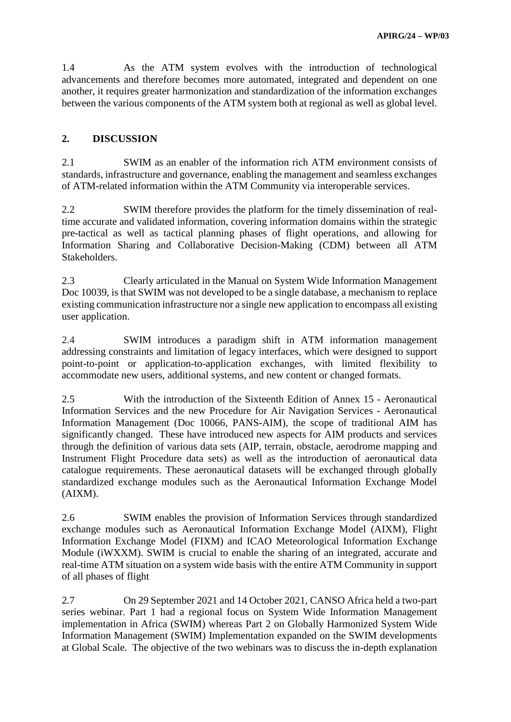1.4 As the ATM system evolves with the introduction of technological advancements and therefore becomes more automated, integrated and dependent on one another, it requires greater harmonization and standardization of the information exchanges between the various components of the ATM system both at regional as well as global level.

### **2. DISCUSSION**

2.1 SWIM as an enabler of the information rich ATM environment consists of standards, infrastructure and governance, enabling the management and seamless exchanges of ATM-related information within the ATM Community via interoperable services.

2.2 SWIM therefore provides the platform for the timely dissemination of realtime accurate and validated information, covering information domains within the strategic pre-tactical as well as tactical planning phases of flight operations, and allowing for Information Sharing and Collaborative Decision-Making (CDM) between all ATM Stakeholders.

2.3 Clearly articulated in the Manual on System Wide Information Management Doc 10039, is that SWIM was not developed to be a single database, a mechanism to replace existing communication infrastructure nor a single new application to encompass all existing user application.

2.4 SWIM introduces a paradigm shift in ATM information management addressing constraints and limitation of legacy interfaces, which were designed to support point-to-point or application-to-application exchanges, with limited flexibility to accommodate new users, additional systems, and new content or changed formats.

2.5 With the introduction of the Sixteenth Edition of Annex 15 - Aeronautical Information Services and the new Procedure for Air Navigation Services - Aeronautical Information Management (Doc 10066, PANS-AIM), the scope of traditional AIM has significantly changed. These have introduced new aspects for AIM products and services through the definition of various data sets (AIP, terrain, obstacle, aerodrome mapping and Instrument Flight Procedure data sets) as well as the introduction of aeronautical data catalogue requirements. These aeronautical datasets will be exchanged through globally standardized exchange modules such as the Aeronautical Information Exchange Model (AIXM).

2.6 SWIM enables the provision of Information Services through standardized exchange modules such as Aeronautical Information Exchange Model (AIXM), Flight Information Exchange Model (FIXM) and ICAO Meteorological Information Exchange Module (iWXXM). SWIM is crucial to enable the sharing of an integrated, accurate and real-time ATM situation on a system wide basis with the entire ATM Community in support of all phases of flight

2.7 On 29 September 2021 and 14 October 2021, CANSO Africa held a two-part series webinar. Part 1 had a regional focus on System Wide Information Management implementation in Africa (SWIM) whereas Part 2 on Globally Harmonized System Wide Information Management (SWIM) Implementation expanded on the SWIM developments at Global Scale. The objective of the two webinars was to discuss the in-depth explanation